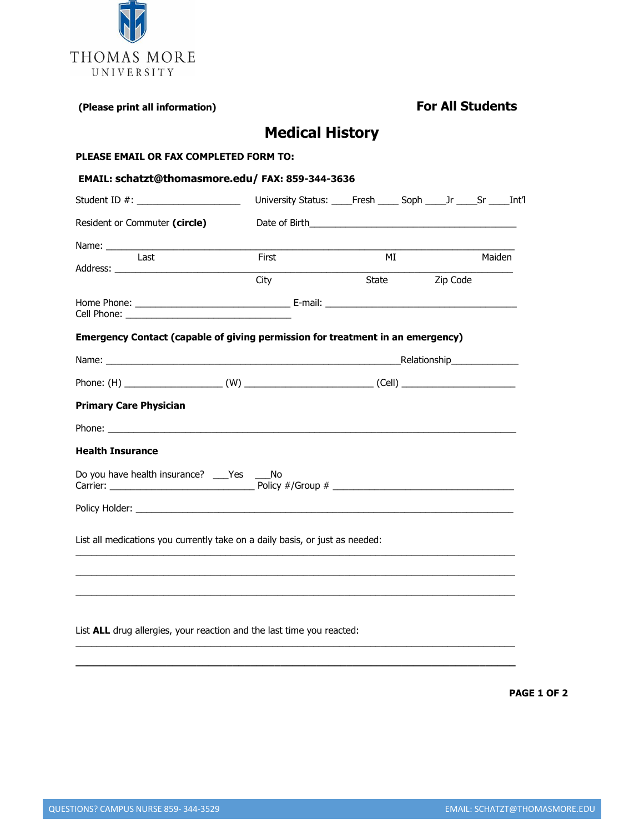

**(Please print all information) For All Students**

# **Medical History**

## **PLEASE EMAIL OR FAX COMPLETED FORM TO:**

# **EMAIL: schatzt@thomasmore.edu/ FAX: 859-344-3636**

|                                                                                | University Status: ______ Fresh ______ Soph ______ Jr _____ Sr _____ Int'l |       |          |        |
|--------------------------------------------------------------------------------|----------------------------------------------------------------------------|-------|----------|--------|
| Resident or Commuter (circle)                                                  |                                                                            |       |          |        |
|                                                                                |                                                                            |       |          |        |
| Last                                                                           | First                                                                      | MI    |          | Maiden |
|                                                                                | City                                                                       | State | Zip Code |        |
|                                                                                |                                                                            |       |          |        |
|                                                                                |                                                                            |       |          |        |
| Emergency Contact (capable of giving permission for treatment in an emergency) |                                                                            |       |          |        |
|                                                                                |                                                                            |       |          |        |
|                                                                                |                                                                            |       |          |        |
| <b>Primary Care Physician</b>                                                  |                                                                            |       |          |        |
|                                                                                |                                                                            |       |          |        |
| <b>Health Insurance</b>                                                        |                                                                            |       |          |        |
| Do you have health insurance? ___Yes ____No                                    |                                                                            |       |          |        |
|                                                                                |                                                                            |       |          |        |
| List all medications you currently take on a daily basis, or just as needed:   |                                                                            |       |          |        |
|                                                                                |                                                                            |       |          |        |
|                                                                                |                                                                            |       |          |        |

\_\_\_\_\_\_\_\_\_\_\_\_\_\_\_\_\_\_\_\_\_\_\_\_\_\_\_\_\_\_\_\_\_\_\_\_\_\_\_\_\_\_\_\_\_\_\_\_\_\_\_\_\_\_\_\_\_\_\_\_\_\_\_\_\_\_\_\_\_\_\_\_\_\_\_\_\_\_\_\_\_\_\_\_\_ **\_\_\_\_\_\_\_\_\_\_\_\_\_\_\_\_\_\_\_\_\_\_\_\_\_\_\_\_\_\_\_\_\_\_\_\_\_\_\_\_\_\_\_\_\_\_\_\_\_\_\_\_\_\_\_\_\_\_\_\_\_\_\_\_\_\_\_\_\_\_\_\_\_**

List **ALL** drug allergies, your reaction and the last time you reacted:

**PAGE 1 OF 2**